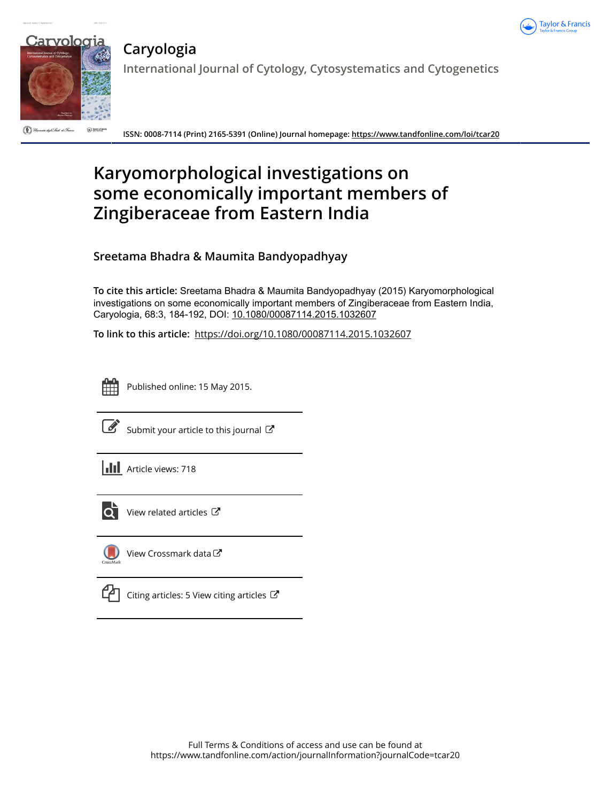



# **Caryologia**

**International Journal of Cytology, Cytosystematics and Cytogenetics**

(C) Université dight Stadi de Formes  $\bigodot$  links for

**ISSN: 0008-7114 (Print) 2165-5391 (Online) Journal homepage:<https://www.tandfonline.com/loi/tcar20>**

# **Karyomorphological investigations on some economically important members of Zingiberaceae from Eastern India**

**Sreetama Bhadra & Maumita Bandyopadhyay**

**To cite this article:** Sreetama Bhadra & Maumita Bandyopadhyay (2015) Karyomorphological investigations on some economically important members of Zingiberaceae from Eastern India, Caryologia, 68:3, 184-192, DOI: [10.1080/00087114.2015.1032607](https://www.tandfonline.com/action/showCitFormats?doi=10.1080/00087114.2015.1032607)

**To link to this article:** <https://doi.org/10.1080/00087114.2015.1032607>

Published online: 15 May 2015.



 $\overline{\mathscr{L}}$  [Submit your article to this journal](https://www.tandfonline.com/action/authorSubmission?journalCode=tcar20&show=instructions)  $\mathbb{F}$ 





[View related articles](https://www.tandfonline.com/doi/mlt/10.1080/00087114.2015.1032607)  $\mathbb{Z}$ 



[View Crossmark data](http://crossmark.crossref.org/dialog/?doi=10.1080/00087114.2015.1032607&domain=pdf&date_stamp=2015-05-15)

[Citing articles: 5 View citing articles](https://www.tandfonline.com/doi/citedby/10.1080/00087114.2015.1032607#tabModule)  $\varTheta$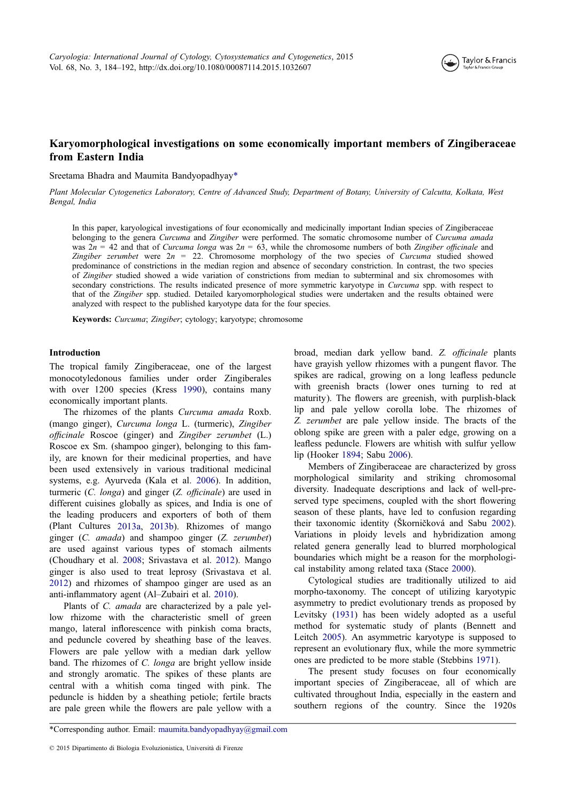

# Karyomorphological investigations on some economically important members of Zingiberaceae from Eastern India

Sreetama Bhadra and Maumita Bandyopadhyay\*

Plant Molecular Cytogenetics Laboratory, Centre of Advanced Study, Department of Botany, University of Calcutta, Kolkata, West Bengal, India

In this paper, karyological investigations of four economically and medicinally important Indian species of Zingiberaceae belonging to the genera Curcuma and Zingiber were performed. The somatic chromosome number of Curcuma amada was  $2n = 42$  and that of Curcuma longa was  $2n = 63$ , while the chromosome numbers of both Zingiber officinale and Zingiber zerumbet were  $2n = 22$ . Chromosome morphology of the two species of Curcuma studied showed predominance of constrictions in the median region and absence of secondary constriction. In contrast, the two species of Zingiber studied showed a wide variation of constrictions from median to subterminal and six chromosomes with secondary constrictions. The results indicated presence of more symmetric karyotype in Curcuma spp. with respect to that of the Zingiber spp. studied. Detailed karyomorphological studies were undertaken and the results obtained were analyzed with respect to the published karyotype data for the four species.

Keywords: Curcuma; Zingiber; cytology; karyotype; chromosome

## Introduction

The tropical family Zingiberaceae, one of the largest monocotyledonous families under order Zingiberales with over 1200 species (Kress [1990\)](#page-8-0), contains many economically important plants.

The rhizomes of the plants Curcuma amada Roxb. (mango ginger), Curcuma longa L. (turmeric), Zingiber officinale Roscoe (ginger) and Zingiber zerumbet (L.) Roscoe ex Sm. (shampoo ginger), belonging to this family, are known for their medicinal properties, and have been used extensively in various traditional medicinal systems, e.g. Ayurveda (Kala et al. [2006](#page-8-0)). In addition, turmeric (C. longa) and ginger (Z. officinale) are used in different cuisines globally as spices, and India is one of the leading producers and exporters of both of them (Plant Cultures [2013a,](#page-9-0) [2013b](#page-9-0)). Rhizomes of mango ginger (C. amada) and shampoo ginger (Z. zerumbet) are used against various types of stomach ailments (Choudhary et al. [2008;](#page-8-0) Srivastava et al. [2012\)](#page-9-0). Mango ginger is also used to treat leprosy (Srivastava et al. [2012\)](#page-9-0) and rhizomes of shampoo ginger are used as an anti-inflammatory agent (Al–Zubairi et al. [2010\)](#page-8-0).

Plants of *C. amada* are characterized by a pale yellow rhizome with the characteristic smell of green mango, lateral inflorescence with pinkish coma bracts, and peduncle covered by sheathing base of the leaves. Flowers are pale yellow with a median dark yellow band. The rhizomes of C. longa are bright yellow inside and strongly aromatic. The spikes of these plants are central with a whitish coma tinged with pink. The peduncle is hidden by a sheathing petiole; fertile bracts are pale green while the flowers are pale yellow with a

broad, median dark yellow band. Z. officinale plants have grayish yellow rhizomes with a pungent flavor. The spikes are radical, growing on a long leafless peduncle with greenish bracts (lower ones turning to red at maturity). The flowers are greenish, with purplish-black lip and pale yellow corolla lobe. The rhizomes of Z. zerumbet are pale yellow inside. The bracts of the oblong spike are green with a paler edge, growing on a leafless peduncle. Flowers are whitish with sulfur yellow lip (Hooker [1894;](#page-8-0) Sabu [2006](#page-9-0)).

Members of Zingiberaceae are characterized by gross morphological similarity and striking chromosomal diversity. Inadequate descriptions and lack of well-preserved type specimens, coupled with the short flowering season of these plants, have led to confusion regarding their taxonomic identity (Škorničková and Sabu [2002](#page-9-0)). Variations in ploidy levels and hybridization among related genera generally lead to blurred morphological boundaries which might be a reason for the morphological instability among related taxa (Stace [2000](#page-9-0)).

Cytological studies are traditionally utilized to aid morpho-taxonomy. The concept of utilizing karyotypic asymmetry to predict evolutionary trends as proposed by Levitsky [\(1931](#page-8-0)) has been widely adopted as a useful method for systematic study of plants (Bennett and Leitch [2005\)](#page-8-0). An asymmetric karyotype is supposed to represent an evolutionary flux, while the more symmetric ones are predicted to be more stable (Stebbins [1971\)](#page-9-0).

The present study focuses on four economically important species of Zingiberaceae, all of which are cultivated throughout India, especially in the eastern and southern regions of the country. Since the 1920s

<sup>\*</sup>Corresponding author. Email: [maumita.bandyopadhyay@gmail.com](mailto:maumita.bandyopadhyay@gmail.com)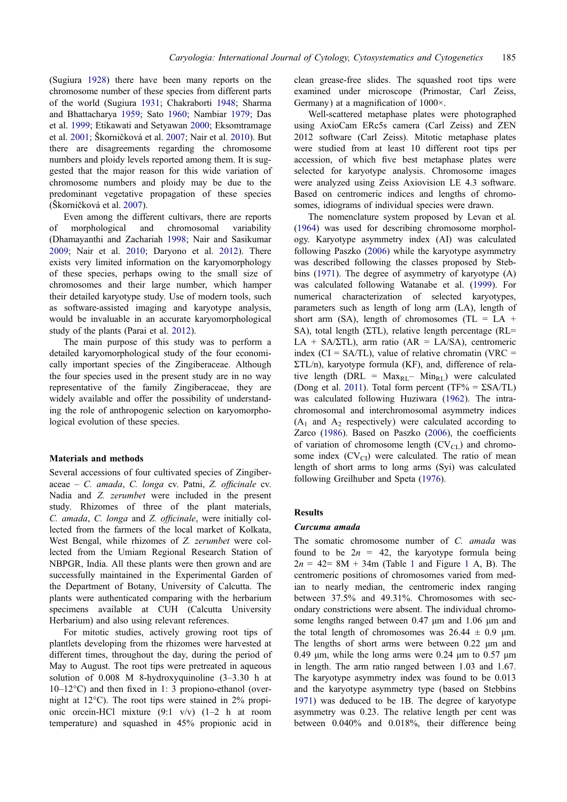(Sugiura [1928\)](#page-9-0) there have been many reports on the chromosome number of these species from different parts of the world (Sugiura [1931](#page-9-0); Chakraborti [1948](#page-8-0); Sharma and Bhattacharya [1959](#page-9-0); Sato [1960](#page-9-0); Nambiar [1979](#page-9-0); Das et al. [1999;](#page-8-0) Etikawati and Setyawan [2000;](#page-8-0) Eksomtramage et al. [2001;](#page-8-0) Škorničková et al. [2007](#page-9-0); Nair et al. [2010](#page-9-0)). But there are disagreements regarding the chromosome numbers and ploidy levels reported among them. It is suggested that the major reason for this wide variation of chromosome numbers and ploidy may be due to the predominant vegetative propagation of these species (Škorničková et al. [2007\)](#page-9-0).

Even among the different cultivars, there are reports of morphological and chromosomal variability (Dhamayanthi and Zachariah [1998](#page-8-0); Nair and Sasikumar [2009;](#page-9-0) Nair et al. [2010](#page-9-0); Daryono et al. [2012](#page-8-0)). There exists very limited information on the karyomorphology of these species, perhaps owing to the small size of chromosomes and their large number, which hamper their detailed karyotype study. Use of modern tools, such as software-assisted imaging and karyotype analysis, would be invaluable in an accurate karyomorphological study of the plants (Parai et al. [2012\)](#page-9-0).

The main purpose of this study was to perform a detailed karyomorphological study of the four economically important species of the Zingiberaceae. Although the four species used in the present study are in no way representative of the family Zingiberaceae, they are widely available and offer the possibility of understanding the role of anthropogenic selection on karyomorphological evolution of these species.

#### Materials and methods

Several accessions of four cultivated species of Zingiber $aceae - C. amada, C. longa cv. Patni, Z. official ev.$ Nadia and Z. zerumbet were included in the present study. Rhizomes of three of the plant materials, C. amada, C. longa and Z. officinale, were initially collected from the farmers of the local market of Kolkata, West Bengal, while rhizomes of Z. zerumbet were collected from the Umiam Regional Research Station of NBPGR, India. All these plants were then grown and are successfully maintained in the Experimental Garden of the Department of Botany, University of Calcutta. The plants were authenticated comparing with the herbarium specimens available at CUH (Calcutta University Herbarium) and also using relevant references.

For mitotic studies, actively growing root tips of plantlets developing from the rhizomes were harvested at different times, throughout the day, during the period of May to August. The root tips were pretreated in aqueous solution of 0.008 M 8-hydroxyquinoline (3–3.30 h at  $10-12\textdegree$ C) and then fixed in 1: 3 propiono-ethanol (overnight at 12°C). The root tips were stained in 2% propionic orcein-HCl mixture (9:1 v/v) (1–2 h at room temperature) and squashed in 45% propionic acid in

clean grease-free slides. The squashed root tips were examined under microscope (Primostar, Carl Zeiss, Germany) at a magnification of 1000×.

Well-scattered metaphase plates were photographed using AxioCam ERc5s camera (Carl Zeiss) and ZEN 2012 software (Carl Zeiss). Mitotic metaphase plates were studied from at least 10 different root tips per accession, of which five best metaphase plates were selected for karyotype analysis. Chromosome images were analyzed using Zeiss Axiovision LE 4.3 software. Based on centromeric indices and lengths of chromosomes, idiograms of individual species were drawn.

The nomenclature system proposed by Levan et al. [\(1964](#page-8-0)) was used for describing chromosome morphology. Karyotype asymmetry index (AI) was calculated following Paszko [\(2006](#page-9-0)) while the karyotype asymmetry was described following the classes proposed by Stebbins ([1971\)](#page-9-0). The degree of asymmetry of karyotype (A) was calculated following Watanabe et al. ([1999\)](#page-9-0). For numerical characterization of selected karyotypes, parameters such as length of long arm (LA), length of short arm (SA), length of chromosomes (TL =  $LA +$ SA), total length (ΣTL), relative length percentage (RL= LA + SA/ΣTL), arm ratio (AR = LA/SA), centromeric index ( $CI = SA/TL$ ), value of relative chromatin ( $VRC =$ ΣTL/n), karyotype formula (KF), and, difference of relative length (DRL =  $Max_{\text{RI}}$ –  $Min_{\text{RI}}$ ) were calculated (Dong et al. [2011](#page-8-0)). Total form percent (TF% =  $\Sigma$ SA/TL) was calculated following Huziwara ([1962\)](#page-8-0). The intrachromosomal and interchromosomal asymmetry indices  $(A_1 \text{ and } A_2 \text{ respectively})$  were calculated according to Zarco ([1986\)](#page-9-0). Based on Paszko ([2006\)](#page-9-0), the coefficients of variation of chromosome length  $(CV_{CL})$  and chromosome index  $(CV_{CI})$  were calculated. The ratio of mean length of short arms to long arms (Syi) was calculated following Greilhuber and Speta ([1976\)](#page-8-0).

#### Results

### Curcuma amada

The somatic chromosome number of C. amada was found to be  $2n = 42$ , the karyotype formula being  $2n = 42 = 8M + 34m$  (Table [1](#page-4-0) and Figure 1 A, B). The centromeric positions of chromosomes varied from median to nearly median, the centromeric index ranging between 37.5% and 49.31%. Chromosomes with secondary constrictions were absent. The individual chromosome lengths ranged between 0.47 μm and 1.06 μm and the total length of chromosomes was  $26.44 \pm 0.9$  μm. The lengths of short arms were between 0.22 μm and 0.49 μm, while the long arms were 0.24 μm to 0.57 μm in length. The arm ratio ranged between 1.03 and 1.67. The karyotype asymmetry index was found to be 0.013 and the karyotype asymmetry type (based on Stebbins [1971\)](#page-9-0) was deduced to be 1B. The degree of karyotype asymmetry was 0.23. The relative length per cent was between 0.040% and 0.018%, their difference being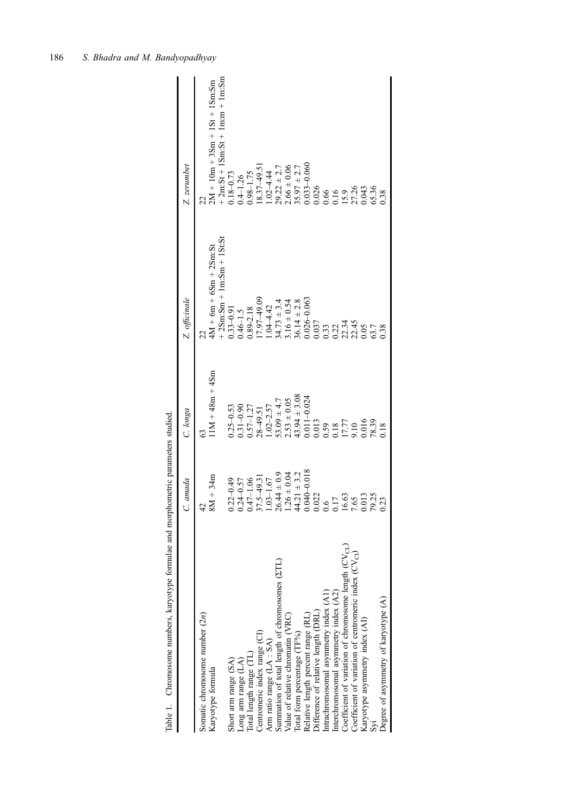<span id="page-3-0"></span>

|                                                           | amada                          | C. longa         | Z. officinale                                          | Z. zerumbet                                                           |
|-----------------------------------------------------------|--------------------------------|------------------|--------------------------------------------------------|-----------------------------------------------------------------------|
| Somatic chromosome number (2n)                            | $\overline{4}$                 | ĉ3               |                                                        |                                                                       |
| Karyotype formula                                         | $8M + 34m$                     | $1M + 48m + 4Sm$ | $-25m:Sm + 1m:Sm + 1St:St$<br>$4M + 6m + 6Sm + 2Sm:St$ | $+ 2m:St + 1Sm:St + 1m:m + 1m:Sm$<br>$2M + 10m + 3Sm + 1St + 1Sm:$ Sm |
| Short arm range (SA)                                      | $2 - 0.49$<br>0.2              | $0.25 - 0.53$    | $1.33 - 0.91$                                          | $0.18 - 0.73$                                                         |
| Long arm range (LA)                                       | $4 - 0.57$<br>0.2              | $0.31 - 0.90$    | $0.46 - 1.5$                                           | $0.4 - 1.26$                                                          |
| Total length range (TL)                                   | $0.47 - 1.06$                  | $0.57 - 1.27$    | 1.89-2.18                                              | $0.98 - 1.75$                                                         |
| Centromeric index range (CI)                              | $.5 - 49.3$<br>37.             | $28 - 49.51$     | $7.97 - 49.09$                                         | 8.37-49.5                                                             |
| Arm ratio range (LA: SA)                                  | $3 - 1.67$                     | $.02 - 2.57$     | $.04 - 4.42$                                           | $.02 - 4.44$                                                          |
| Summation of total length of chromosomes $(2TL)$          | $26.44 \pm 0.9$                | $3.09 \pm 4.7$   | $4.73 \pm 3.4$                                         | $29.22 \pm 2.7$                                                       |
| Value of relative chromatin (VRC)                         | $1.26 \pm 0.04$                | $2.53 \pm 0.05$  | $.16 \pm 0.54$                                         | $2.66 \pm 0.06$                                                       |
| Total form percentage (TF%)                               | $.21 \pm 3.2$<br>$\frac{4}{4}$ | $13.94 \pm 3.08$ | $36.14 \pm 2.8$                                        | $35.97 \pm 2.7$                                                       |
| Relative length percent range (RL)                        | 810-0-018<br>$\overline{0.0}$  | $0.011 - 0.024$  | $0.026 - 0.063$                                        | $0.033 - 0.060$                                                       |
| Difference of relative length (DRL)                       | 0.022                          | 0.013            | $\begin{array}{c} 0.037 \\ 0.33 \\ 0.22 \end{array}$   | 0.026                                                                 |
| Intrachromosomal asymmetry index (A1)                     | 6.6                            | 0.59             |                                                        |                                                                       |
| Interchromosomal asymmetry index (A2)                     | $\overline{C}$                 |                  |                                                        |                                                                       |
| Coefficient of variation of chromosome length $(CV_{CL})$ | 16.63<br>7.65                  | 17.77<br>9.10    |                                                        | 0.66<br>0.16<br>27.26<br>27.26                                        |
| Coefficient of variation of centromeric index $(CVCI)$    | 7.6.                           |                  | 22.34<br>22.45<br>0.05                                 |                                                                       |
| Karyotype asymmetry index (AI)                            | 0.013                          | 016              |                                                        | 0.043                                                                 |
|                                                           |                                | 78.39            | 63.7                                                   | 65.36                                                                 |
| Degree of asymmetry of karyotype (A)                      | 0.2                            | 0.18             | 0.38                                                   | 0.38                                                                  |
|                                                           |                                |                  |                                                        |                                                                       |

Table 1. Chromosome numbers, karyotype formulae and morphometric parameters studied. Table 1. Chromosome numbers, karyotype formulae and morphometric parameters studied.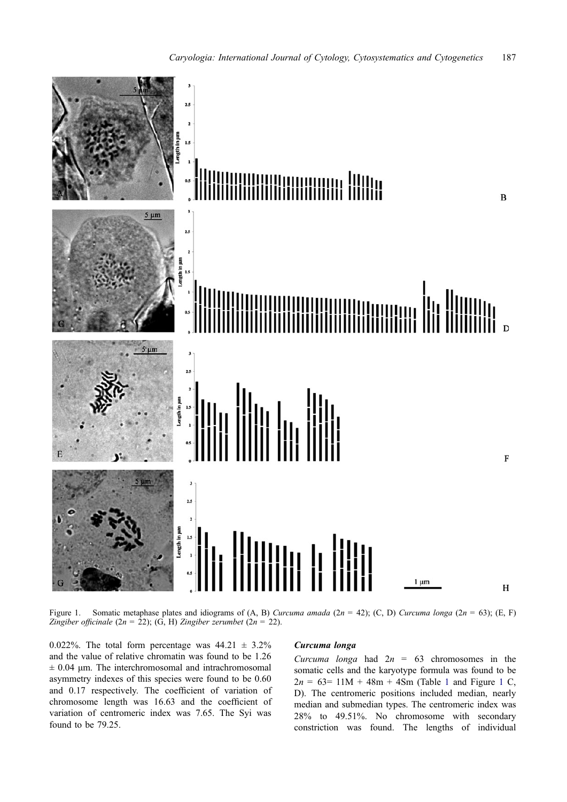<span id="page-4-0"></span>

Figure 1. Somatic metaphase plates and idiograms of (A, B) Curcuma amada (2n = 42); (C, D) Curcuma longa (2n = 63); (E, F) Zingiber officinale (2n = 22); (G, H) Zingiber zerumbet (2n = 22).

0.022%. The total form percentage was  $44.21 \pm 3.2\%$ and the value of relative chromatin was found to be 1.26  $\pm$  0.04 μm. The interchromosomal and intrachromosomal asymmetry indexes of this species were found to be 0.60 and 0.17 respectively. The coefficient of variation of chromosome length was 16.63 and the coefficient of variation of centromeric index was 7.65. The Syi was found to be 79.25.

# Curcuma longa

Curcuma longa had  $2n = 63$  chromosomes in the somatic cells and the karyotype formula was found to be  $2n = 63 = 11M + 48m + 4Sm$  $2n = 63 = 11M + 48m + 4Sm$  $2n = 63 = 11M + 48m + 4Sm$  (Table 1 and Figure 1 C, D). The centromeric positions included median, nearly median and submedian types. The centromeric index was 28% to 49.51%. No chromosome with secondary constriction was found. The lengths of individual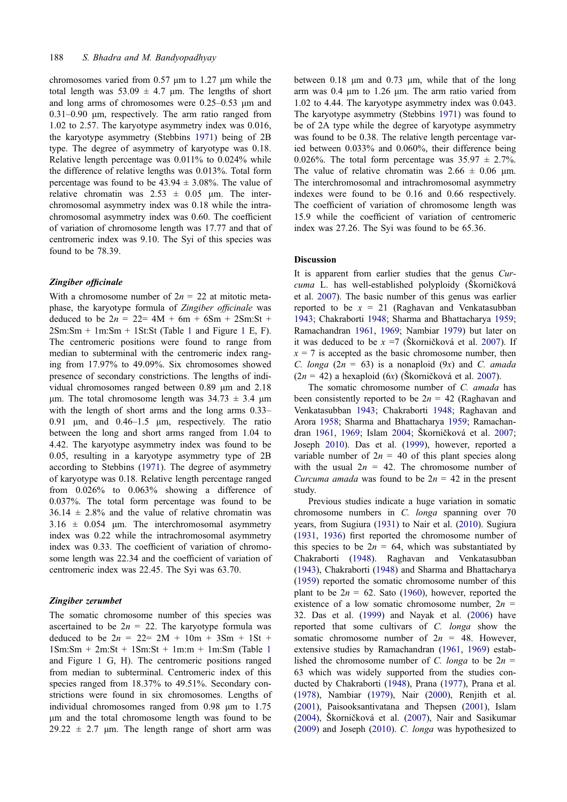chromosomes varied from 0.57 μm to 1.27 μm while the total length was  $53.09 \pm 4.7$  μm. The lengths of short and long arms of chromosomes were 0.25–0.53 μm and 0.31–0.90 μm, respectively. The arm ratio ranged from 1.02 to 2.57. The karyotype asymmetry index was 0.016, the karyotype asymmetry (Stebbins [1971\)](#page-9-0) being of 2B type. The degree of asymmetry of karyotype was 0.18. Relative length percentage was 0.011% to 0.024% while the difference of relative lengths was 0.013%. Total form percentage was found to be  $43.94 \pm 3.08\%$ . The value of relative chromatin was  $2.53 \pm 0.05$  um. The interchromosomal asymmetry index was 0.18 while the intrachromosomal asymmetry index was 0.60. The coefficient of variation of chromosome length was 17.77 and that of centromeric index was 9.10. The Syi of this species was found to be 78.39.

#### Zingiber officinale

With a chromosome number of  $2n = 22$  at mitotic metaphase, the karyotype formula of Zingiber officinale was deduced to be  $2n = 22 = 4M + 6m + 6Sm + 2Sm:St +$  $2Sm:Sm + 1m:Sm + 1St:St$  $2Sm:Sm + 1m:Sm + 1St:St$  $2Sm:Sm + 1m:Sm + 1St:St$  (Table 1 and Figure 1 E, F). The centromeric positions were found to range from median to subterminal with the centromeric index ranging from 17.97% to 49.09%. Six chromosomes showed presence of secondary constrictions. The lengths of individual chromosomes ranged between 0.89 μm and 2.18 μm. The total chromosome length was  $34.73 \pm 3.4$  μm with the length of short arms and the long arms 0.33– 0.91 μm, and 0.46–1.5 μm, respectively. The ratio between the long and short arms ranged from 1.04 to 4.42. The karyotype asymmetry index was found to be 0.05, resulting in a karyotype asymmetry type of 2B according to Stebbins ([1971\)](#page-9-0). The degree of asymmetry of karyotype was 0.18. Relative length percentage ranged from 0.026% to 0.063% showing a difference of 0.037%. The total form percentage was found to be  $36.14 \pm 2.8\%$  and the value of relative chromatin was  $3.16 \pm 0.054$  μm. The interchromosomal asymmetry index was 0.22 while the intrachromosomal asymmetry index was 0.33. The coefficient of variation of chromosome length was 22.34 and the coefficient of variation of centromeric index was 22.45. The Syi was 63.70.

# Zingiber zerumbet

The somatic chromosome number of this species was ascertained to be  $2n = 22$ . The karyotype formula was deduced to be  $2n = 22 = 2M + 10m + 3Sm + 1St +$  $1$ Sm:Sm + 2m:St + 1Sm:St + 1m:m + 1m:Sm (Table 1 and Figure [1](#page-4-0) G, H). The centromeric positions ranged from median to subterminal. Centromeric index of this species ranged from 18.37% to 49.51%. Secondary constrictions were found in six chromosomes. Lengths of individual chromosomes ranged from 0.98 μm to 1.75 μm and the total chromosome length was found to be  $29.22 \pm 2.7$  μm. The length range of short arm was

between 0.18 μm and 0.73 μm, while that of the long arm was 0.4 μm to 1.26 μm. The arm ratio varied from 1.02 to 4.44. The karyotype asymmetry index was 0.043. The karyotype asymmetry (Stebbins [1971\)](#page-9-0) was found to be of 2A type while the degree of karyotype asymmetry was found to be 0.38. The relative length percentage varied between 0.033% and 0.060%, their difference being 0.026%. The total form percentage was  $35.97 \pm 2.7\%$ . The value of relative chromatin was  $2.66 \pm 0.06$  μm. The interchromosomal and intrachromosomal asymmetry indexes were found to be 0.16 and 0.66 respectively. The coefficient of variation of chromosome length was 15.9 while the coefficient of variation of centromeric index was 27.26. The Syi was found to be 65.36.

# Discussion

It is apparent from earlier studies that the genus Curcuma L. has well-established polyploidy (Škorničková et al. [2007](#page-9-0)). The basic number of this genus was earlier reported to be  $x = 21$  (Raghavan and Venkatasubban [1943;](#page-9-0) Chakraborti [1948;](#page-8-0) Sharma and Bhattacharya [1959](#page-9-0); Ramachandran [1961,](#page-9-0) [1969;](#page-9-0) Nambiar [1979\)](#page-9-0) but later on it was deduced to be  $x = 7$  (Škorničková et al. [2007\)](#page-9-0). If  $x = 7$  is accepted as the basic chromosome number, then C. longa  $(2n = 63)$  is a nonaploid  $(9x)$  and C. amada  $(2n = 42)$  a hexaploid  $(6x)$  (Škorničková et al. [2007](#page-9-0)).

The somatic chromosome number of C. amada has been consistently reported to be  $2n = 42$  (Raghavan and Venkatasubban [1943](#page-9-0); Chakraborti [1948;](#page-8-0) Raghavan and Arora [1958;](#page-9-0) Sharma and Bhattacharya [1959](#page-9-0); Ramachandran [1961,](#page-9-0) [1969](#page-9-0); Islam [2004;](#page-8-0) Škorničková et al. [2007](#page-9-0); Joseph [2010\)](#page-8-0). Das et al. ([1999\)](#page-8-0), however, reported a variable number of  $2n = 40$  of this plant species along with the usual  $2n = 42$ . The chromosome number of Curcuma amada was found to be  $2n = 42$  in the present study.

Previous studies indicate a huge variation in somatic chromosome numbers in C. longa spanning over 70 years, from Sugiura ([1931\)](#page-9-0) to Nair et al. ([2010\)](#page-9-0). Sugiura [\(1931](#page-9-0), [1936](#page-9-0)) first reported the chromosome number of this species to be  $2n = 64$ , which was substantiated by Chakraborti [\(1948\)](#page-8-0). Raghavan and Venkatasubban [\(1943](#page-9-0)), Chakraborti ([1948\)](#page-8-0) and Sharma and Bhattacharya [\(1959](#page-9-0)) reported the somatic chromosome number of this plant to be  $2n = 62$ . Sato [\(1960](#page-9-0)), however, reported the existence of a low somatic chromosome number,  $2n =$ 32. Das et al. ([1999\)](#page-8-0) and Nayak et al. [\(2006](#page-9-0)) have reported that some cultivars of C. longa show the somatic chromosome number of  $2n = 48$ . However, extensive studies by Ramachandran [\(1961,](#page-9-0) [1969\)](#page-9-0) established the chromosome number of C. longa to be  $2n =$ 63 which was widely supported from the studies conducted by Chakraborti [\(1948](#page-8-0)), Prana ([1977\)](#page-9-0), Prana et al. [\(1978](#page-9-0)), Nambiar [\(1979](#page-9-0)), Nair ([2000\)](#page-9-0), Renjith et al. [\(2001](#page-9-0)), Paisooksantivatana and Thepsen ([2001\)](#page-9-0), Islam [\(2004](#page-8-0)), Škorničková et al. ([2007\)](#page-9-0), Nair and Sasikumar [\(2009](#page-9-0)) and Joseph ([2010\)](#page-8-0). C. longa was hypothesized to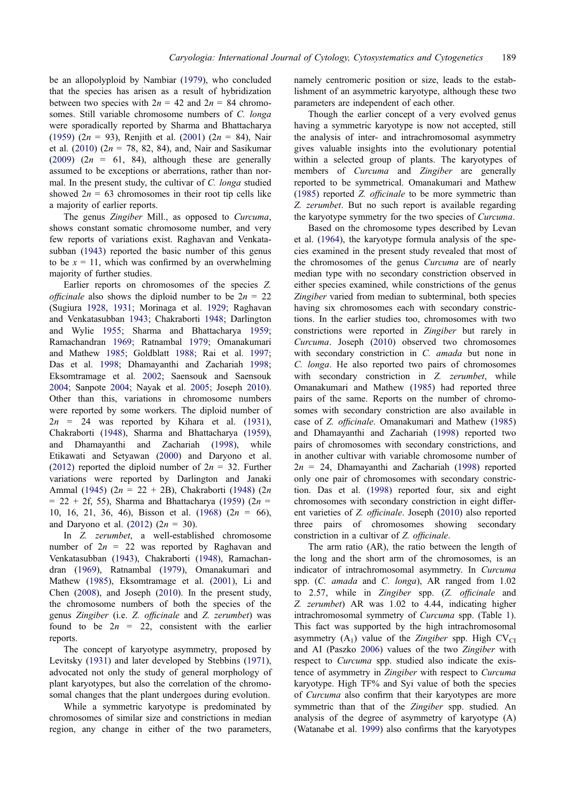be an allopolyploid by Nambiar ([1979\)](#page-9-0), who concluded that the species has arisen as a result of hybridization between two species with  $2n = 42$  and  $2n = 84$  chromosomes. Still variable chromosome numbers of C. longa were sporadically reported by Sharma and Bhattacharya [\(1959](#page-9-0)) (2n = 93), Renjith et al. [\(2001](#page-9-0)) (2n = 84), Nair et al. ([2010\)](#page-9-0) ( $2n = 78$ , 82, 84), and, Nair and Sasikumar [\(2009](#page-9-0)) ( $2n = 61$ , 84), although these are generally assumed to be exceptions or aberrations, rather than normal. In the present study, the cultivar of C. longa studied showed  $2n = 63$  chromosomes in their root tip cells like a majority of earlier reports.

The genus Zingiber Mill., as opposed to Curcuma, shows constant somatic chromosome number, and very few reports of variations exist. Raghavan and Venkatasubban ([1943\)](#page-9-0) reported the basic number of this genus to be  $x = 11$ , which was confirmed by an overwhelming majority of further studies.

Earlier reports on chromosomes of the species Z. *officinale* also shows the diploid number to be  $2n = 22$ (Sugiura [1928](#page-9-0), [1931;](#page-9-0) Morinaga et al. [1929](#page-8-0); Raghavan and Venkatasubban [1943;](#page-9-0) Chakraborti [1948;](#page-8-0) Darlington and Wylie [1955;](#page-8-0) Sharma and Bhattacharya [1959](#page-9-0); Ramachandran [1969](#page-9-0); Ratnambal [1979](#page-9-0); Omanakumari and Mathew [1985](#page-9-0); Goldblatt [1988;](#page-8-0) Rai et al. [1997](#page-9-0); Das et al. [1998;](#page-8-0) Dhamayanthi and Zachariah [1998](#page-8-0); Eksomtramage et al. [2002;](#page-8-0) Saensouk and Saensouk [2004;](#page-9-0) Sanpote [2004;](#page-9-0) Nayak et al. [2005](#page-9-0); Joseph [2010](#page-8-0)). Other than this, variations in chromosome numbers were reported by some workers. The diploid number of  $2n = 24$  was reported by Kihara et al. [\(1931](#page-8-0)), Chakraborti ([1948\)](#page-8-0), Sharma and Bhattacharya [\(1959](#page-9-0)), and Dhamayanthi and Zachariah [\(1998](#page-8-0)), while Etikawati and Setyawan [\(2000](#page-8-0)) and Daryono et al. [\(2012](#page-8-0)) reported the diploid number of  $2n = 32$ . Further variations were reported by Darlington and Janaki Ammal ([1945\)](#page-8-0) (2n = 22 + 2B), Chakraborti [\(1948](#page-8-0)) (2n  $= 22 + 2f$ , 55), Sharma and Bhattacharya ([1959\)](#page-9-0) (2n = 10, 16, 21, 36, 46), Bisson et al. [\(1968](#page-8-0)) ( $2n = 66$ ), and Daryono et al.  $(2012) (2n = 30)$  $(2012) (2n = 30)$  $(2012) (2n = 30)$ .

In Z. zerumbet, a well-established chromosome number of  $2n = 22$  was reported by Raghavan and Venkatasubban ([1943\)](#page-9-0), Chakraborti ([1948\)](#page-8-0), Ramachandran [\(1969](#page-9-0)), Ratnambal ([1979\)](#page-9-0), Omanakumari and Mathew ([1985\)](#page-9-0), Eksomtramage et al. ([2001\)](#page-8-0), Li and Chen [\(2008](#page-8-0)), and Joseph ([2010\)](#page-8-0). In the present study, the chromosome numbers of both the species of the genus Zingiber (i.e. Z. officinale and Z. zerumbet) was found to be  $2n = 22$ , consistent with the earlier reports.

The concept of karyotype asymmetry, proposed by Levitsky ([1931](#page-8-0)) and later developed by Stebbins [\(1971](#page-9-0)), advocated not only the study of general morphology of plant karyotypes, but also the correlation of the chromosomal changes that the plant undergoes during evolution.

While a symmetric karyotype is predominated by chromosomes of similar size and constrictions in median region, any change in either of the two parameters, namely centromeric position or size, leads to the establishment of an asymmetric karyotype, although these two parameters are independent of each other.

Though the earlier concept of a very evolved genus having a symmetric karyotype is now not accepted, still the analysis of inter- and intrachromosomal asymmetry gives valuable insights into the evolutionary potential within a selected group of plants. The karyotypes of members of Curcuma and Zingiber are generally reported to be symmetrical. Omanakumari and Mathew [\(1985](#page-9-0)) reported Z. officinale to be more symmetric than Z. zerumbet. But no such report is available regarding the karyotype symmetry for the two species of Curcuma.

Based on the chromosome types described by Levan et al. ([1964\)](#page-8-0), the karyotype formula analysis of the species examined in the present study revealed that most of the chromosomes of the genus Curcuma are of nearly median type with no secondary constriction observed in either species examined, while constrictions of the genus Zingiber varied from median to subterminal, both species having six chromosomes each with secondary constrictions. In the earlier studies too, chromosomes with two constrictions were reported in Zingiber but rarely in Curcuma. Joseph [\(2010](#page-8-0)) observed two chromosomes with secondary constriction in C. amada but none in C. longa. He also reported two pairs of chromosomes with secondary constriction in Z. zerumbet, while Omanakumari and Mathew ([1985\)](#page-9-0) had reported three pairs of the same. Reports on the number of chromosomes with secondary constriction are also available in case of Z. officinale. Omanakumari and Mathew ([1985\)](#page-9-0) and Dhamayanthi and Zachariah ([1998\)](#page-8-0) reported two pairs of chromosomes with secondary constrictions, and in another cultivar with variable chromosome number of  $2n = 24$ , Dhamayanthi and Zachariah ([1998\)](#page-8-0) reported only one pair of chromosomes with secondary constriction. Das et al. ([1998\)](#page-8-0) reported four, six and eight chromosomes with secondary constriction in eight different varieties of Z. officinale. Joseph ([2010\)](#page-8-0) also reported three pairs of chromosomes showing secondary constriction in a cultivar of Z. officinale.

The arm ratio (AR), the ratio between the length of the long and the short arm of the chromosomes, is an indicator of intrachromosomal asymmetry. In Curcuma spp. (C. amada and C. longa), AR ranged from 1.02 to 2.57, while in Zingiber spp. (Z. officinale and Z. zerumbet) AR was 1.02 to 4.44, indicating higher intrachromosomal symmetry of Curcuma spp. (Table [1](#page-3-0)). This fact was supported by the high intrachromosomal asymmetry  $(A_1)$  value of the Zingiber spp. High CV<sub>CI</sub> and AI (Paszko [2006\)](#page-9-0) values of the two Zingiber with respect to Curcuma spp. studied also indicate the existence of asymmetry in Zingiber with respect to Curcuma karyotype. High TF% and Syi value of both the species of Curcuma also confirm that their karyotypes are more symmetric than that of the Zingiber spp. studied. An analysis of the degree of asymmetry of karyotype (A) (Watanabe et al. [1999\)](#page-9-0) also confirms that the karyotypes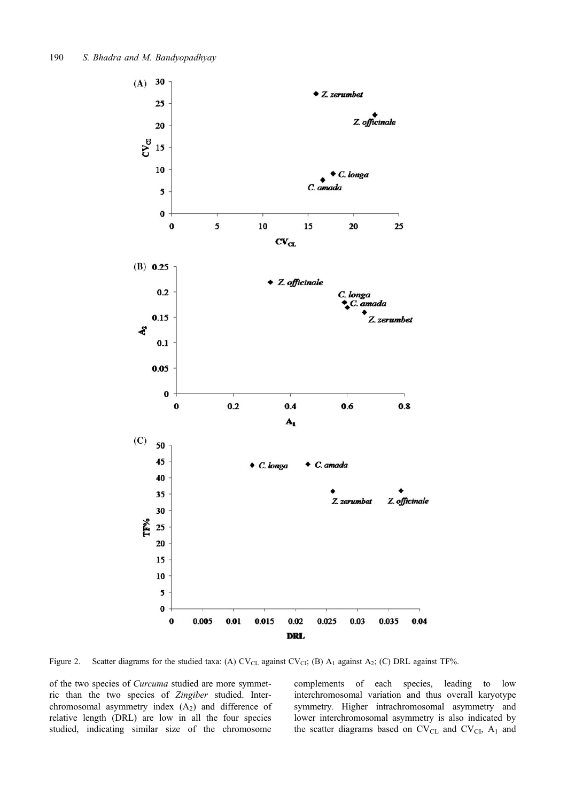<span id="page-7-0"></span>

Figure 2. Scatter diagrams for the studied taxa: (A)  $CV_{CL}$  against  $CV_{CL}$ ; (B)  $A_1$  against  $A_2$ ; (C) DRL against TF%.

of the two species of Curcuma studied are more symmetric than the two species of Zingiber studied. Interchromosomal asymmetry index  $(A_2)$  and difference of relative length (DRL) are low in all the four species studied, indicating similar size of the chromosome

complements of each species, leading to low interchromosomal variation and thus overall karyotype symmetry. Higher intrachromosomal asymmetry and lower interchromosomal asymmetry is also indicated by the scatter diagrams based on  $CV_{CL}$  and  $CV_{CI}$ ,  $A_1$  and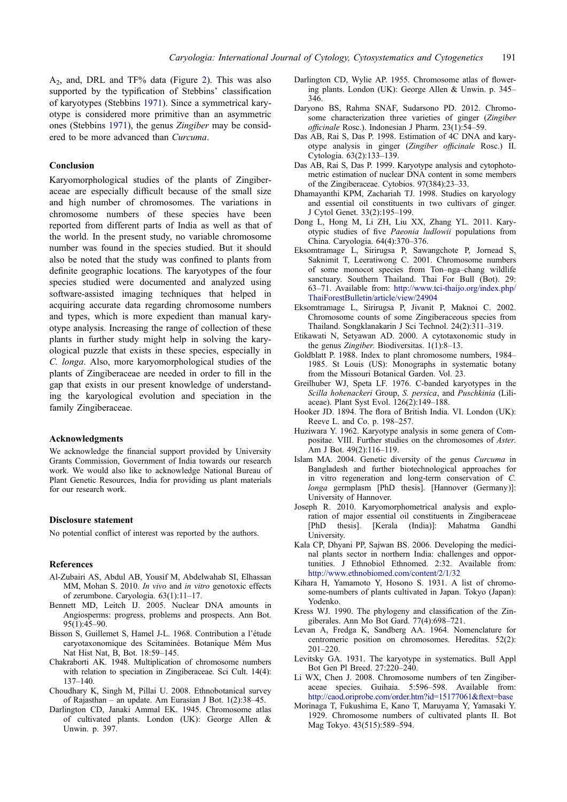<span id="page-8-0"></span>A2, and, DRL and TF% data (Figure [2](#page-7-0)). This was also supported by the typification of Stebbins' classification of karyotypes (Stebbins [1971\)](#page-9-0). Since a symmetrical karyotype is considered more primitive than an asymmetric ones (Stebbins [1971](#page-9-0)), the genus Zingiber may be considered to be more advanced than Curcuma.

## Conclusion

Karyomorphological studies of the plants of Zingiberaceae are especially difficult because of the small size and high number of chromosomes. The variations in chromosome numbers of these species have been reported from different parts of India as well as that of the world. In the present study, no variable chromosome number was found in the species studied. But it should also be noted that the study was confined to plants from definite geographic locations. The karyotypes of the four species studied were documented and analyzed using software-assisted imaging techniques that helped in acquiring accurate data regarding chromosome numbers and types, which is more expedient than manual karyotype analysis. Increasing the range of collection of these plants in further study might help in solving the karyological puzzle that exists in these species, especially in C. longa. Also, more karyomorphological studies of the plants of Zingiberaceae are needed in order to fill in the gap that exists in our present knowledge of understanding the karyological evolution and speciation in the family Zingiberaceae.

#### Acknowledgments

We acknowledge the financial support provided by University Grants Commission, Government of India towards our research work. We would also like to acknowledge National Bureau of Plant Genetic Resources, India for providing us plant materials for our research work.

#### Disclosure statement

No potential conflict of interest was reported by the authors.

#### References

- Al-Zubairi AS, Abdul AB, Yousif M, Abdelwahab SI, Elhassan MM, Mohan S. 2010. In vivo and in vitro genotoxic effects of zerumbone. Caryologia. 63(1):11–17.
- Bennett MD, Leitch IJ. 2005. Nuclear DNA amounts in Angiosperms: progress, problems and prospects. Ann Bot. 95(1):45–90.
- Bisson S, Guillemet S, Hamel J-L. 1968. Contribution a l'étude caryotaxonomique des Scitaminées. Botanique Mém Mus Nat Hist Nat, B, Bot. 18:59–145.
- Chakraborti AK. 1948. Multiplication of chromosome numbers with relation to speciation in Zingiberaceae. Sci Cult. 14(4): 137–140.
- Choudhary K, Singh M, Pillai U. 2008. Ethnobotanical survey of Rajasthan – an update. Am Eurasian J Bot. 1(2):38–45.
- Darlington CD, Janaki Ammal EK. 1945. Chromosome atlas of cultivated plants. London (UK): George Allen & Unwin. p. 397.
- Darlington CD, Wylie AP. 1955. Chromosome atlas of flowering plants. London (UK): George Allen & Unwin. p. 345– 346.
- Daryono BS, Rahma SNAF, Sudarsono PD. 2012. Chromosome characterization three varieties of ginger (Zingiber officinale Rosc.). Indonesian J Pharm. 23(1):54–59.
- Das AB, Rai S, Das P. 1998. Estimation of 4C DNA and karyotype analysis in ginger (Zingiber officinale Rosc.) II. Cytologia. 63(2):133–139.
- Das AB, Rai S, Das P. 1999. Karyotype analysis and cytophotometric estimation of nuclear DNA content in some members of the Zingiberaceae. Cytobios. 97(384):23–33.
- Dhamayanthi KPM, Zachariah TJ. 1998. Studies on karyology and essential oil constituents in two cultivars of ginger. J Cytol Genet. 33(2):195–199.
- Dong L, Hong M, Li ZH, Liu XX, Zhang YL. 2011. Karyotypic studies of five Paeonia ludlowii populations from China. Caryologia. 64(4):370–376.
- Eksomtramage L, Sirirugsa P, Sawangchote P, Jornead S, Saknimit T, Leeratiwong C. 2001. Chromosome numbers of some monocot species from Ton–nga–chang wildlife sanctuary. Southern Thailand. Thai For Bull (Bot). 29: 63–71. Available from: [http://www.tci-thaijo.org/index.php/](http://www.tci-thaijo.org/index.php/ThaiForestBulletin/article/view/24904) [ThaiForestBulletin/article/view/24904](http://www.tci-thaijo.org/index.php/ThaiForestBulletin/article/view/24904)
- Eksomtramage L, Sirirugsa P, Jivanit P, Maknoi C. 2002. Chromosome counts of some Zingiberaceous species from Thailand. Songklanakarin J Sci Technol. 24(2):311–319.
- Etikawati N, Setyawan AD. 2000. A cytotaxonomic study in the genus Zingiber. Biodiversitas. 1(1):8–13.
- Goldblatt P. 1988. Index to plant chromosome numbers, 1984– 1985. St Louis (US): Monographs in systematic botany from the Missouri Botanical Garden. Vol. 23.
- Greilhuber WJ, Speta LF. 1976. C-banded karyotypes in the Scilla hohenackeri Group, S. persica, and Puschkinia (Liliaceae). Plant Syst Evol. 126(2):149–188.
- Hooker JD. 1894. The flora of British India. VI. London (UK): Reeve L. and Co. p. 198–257.
- Huziwara Y. 1962. Karyotype analysis in some genera of Compositae. VIII. Further studies on the chromosomes of Aster. Am J Bot. 49(2):116–119.
- Islam MA. 2004. Genetic diversity of the genus Curcuma in Bangladesh and further biotechnological approaches for in vitro regeneration and long-term conservation of C. longa germplasm [PhD thesis]. [Hannover (Germany)]: University of Hannover.
- Joseph R. 2010. Karyomorphometrical analysis and exploration of major essential oil constituents in Zingiberaceae [PhD thesis]. [Kerala (India)]: Mahatma Gandhi University.
- Kala CP, Dhyani PP, Sajwan BS. 2006. Developing the medicinal plants sector in northern India: challenges and opportunities. J Ethnobiol Ethnomed. 2:32. Available from: <http://www.ethnobiomed.com/content/2/1/32>
- Kihara H, Yamamoto Y, Hosono S. 1931. A list of chromosome-numbers of plants cultivated in Japan. Tokyo (Japan): Yodenko.
- Kress WJ. 1990. The phylogeny and classification of the Zingiberales. Ann Mo Bot Gard. 77(4):698–721.
- Levan A, Fredga K, Sandberg AA. 1964. Nomenclature for centromeric position on chromosomes. Hereditas. 52(2): 201–220.
- Levitsky GA. 1931. The karyotype in systematics. Bull Appl Bot Gen Pl Breed. 27:220–240.
- Li WX, Chen J. 2008. Chromosome numbers of ten Zingiberaceae species. Guihaia. 5:596–598. Available from: <http://caod.oriprobe.com/order.htm?id=15177061&ftext=base>
- Morinaga T, Fukushima E, Kano T, Maruyama Y, Yamasaki Y. 1929. Chromosome numbers of cultivated plants II. Bot Mag Tokyo. 43(515):589–594.